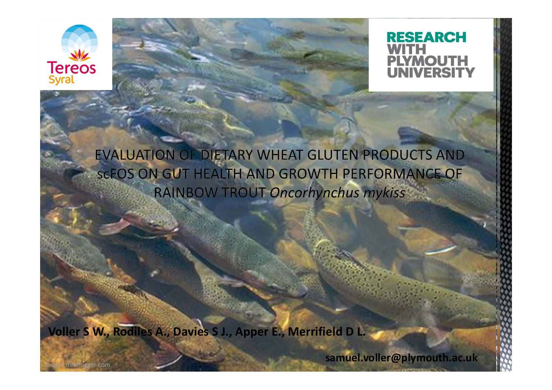



# EVALUATION OF DIETARY WHEAT GLUTEN PRODUCTS AND SCFOS ON GUT HEALTH AND GROWTH PERFORMANCE OF RAINBOW TROUT Oncorhynchus mykiss

**Voller S W., Rodiles A., Davies S J., Apper E., Merrifield D L.**

**samuel.voller@plymouth.ac.uk**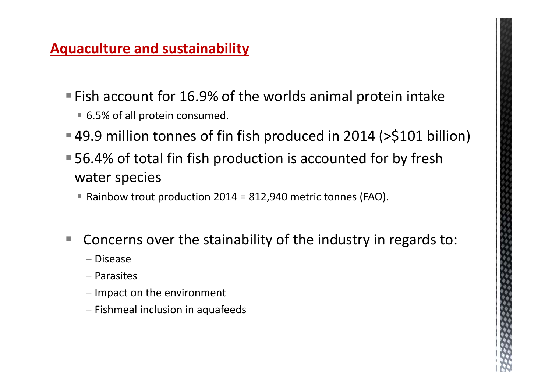#### **Aquaculture and sustainability**

- Fish account for 16.9% of the worlds animal protein intake
	- 6.5% of all protein consumed.
- 49.9 million tonnes of fin fish produced in 2014 (>\$101 billion)
- 56.4% of total fin fish production is accounted for by fresh water species
	- Rainbow trout production 2014 = 812,940 metric tonnes (FAO).
- π Concerns over the stainability of the industry in regards to:
	- ‒ Disease
	- ‒ Parasites
	- ‒ Impact on the environment
	- ‒ Fishmeal inclusion in aquafeeds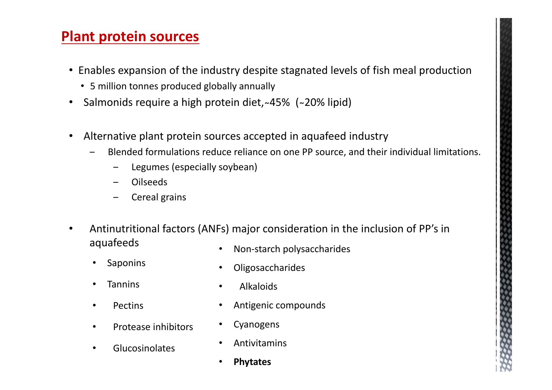#### **Plant protein sources**

- Enables expansion of the industry despite stagnated levels of fish meal production
	- 5 million tonnes produced globally annually
- $\bullet$ Salmonids require a high protein diet, ~45% (~20% lipid)
- • Alternative plant protein sources accepted in aquafeed industry
	- Blended formulations reduce reliance on one PP source, and their individual limitations.
		- ‒Legumes (especially soybean)
		- ‒Oilseeds
		- Cereal grains
- • Antinutritional factors (ANFs) major consideration in the inclusion of PP's in aquafeeds • Non‐starch polysaccharides
	- •Saponins

•**Oligosaccharides** 

•• Tannins

•Alkaloids

- •Pectins
- •Protease inhibitors
- •Glucosinolates
- •Antigenic compounds
- •Cyanogens
- •Antivitamins
- •**Phytates**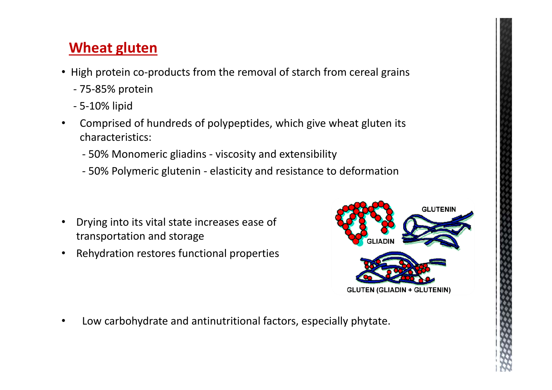# **Wheat gluten**

- High protein co-products from the removal of starch from cereal grains ‐ 75‐85% protein
	- ‐ 5‐10% lipid
- • Comprised of hundreds of polypeptides, which give wheat gluten its characteristics:
	- ‐ 50% Monomeric gliadins ‐ viscosity and extensibility
	- ‐ 50% Polymeric glutenin ‐ elasticity and resistance to deformation
- • Drying into its vital state increases ease of transportation and storage
- •Rehydration restores functional properties



•Low carbohydrate and antinutritional factors, especially phytate.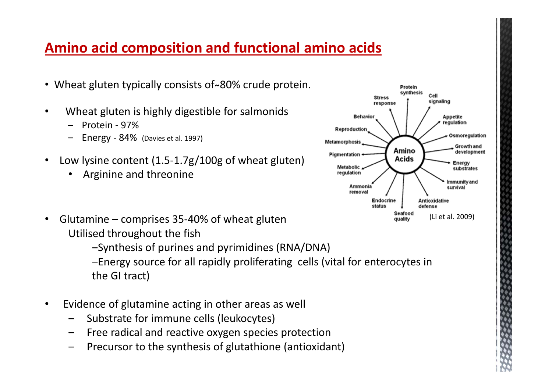#### **Amino acid composition and functional amino acids**

- Wheat gluten typically consists of~80% crude protein.
- • Wheat gluten is highly digestible for salmonids
	- ‒ Protein ‐ 97%
	- ‒ Energy ‐ 84% (Davies et al. 1997)
- • Low lysine content (1.5‐1.7g/100g of wheat gluten)
	- •Arginine and threonine
- Glutamine comprises 35-40% of wheat gluten values and the second value of the state 2009) Utilised throughout the fish

‒Synthesis of purines and pyrimidines (RNA/DNA)

‒Energy source for all rapidly proliferating cells (vital for enterocytes in the GI tract)

- • Evidence of glutamine acting in other areas as well
	- ‒Substrate for immune cells (leukocytes)
	- Free radical and reactive oxygen species protection
	- Precursor to the synthesis of glutathione (antioxidant)

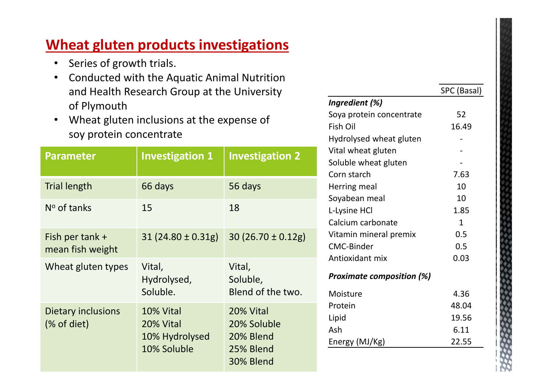# **Wheat gluten products investigations**

- •Series of growth trials.
- $\bullet$  Conducted with the Aquatic Animal Nutrition and Health Research Group at the University of Plymouth
- $\bullet$  Wheat gluten inclusions at the expense of soy protein concentrate

| <b>Parameter</b>                    | <b>Investigation 1</b>                                  | <b>Investigation 2</b>                                          |
|-------------------------------------|---------------------------------------------------------|-----------------------------------------------------------------|
| <b>Trial length</b>                 | 66 days                                                 | 56 days                                                         |
| $No$ of tanks                       | 15                                                      | 18                                                              |
| Fish per tank +<br>mean fish weight | $31(24.80 \pm 0.31g)$                                   | 30 $(26.70 \pm 0.12g)$                                          |
| Wheat gluten types                  | Vital,<br>Hydrolysed,<br>Soluble.                       | Vital,<br>Soluble,<br>Blend of the two.                         |
| Dietary inclusions<br>(% of diet)   | 10% Vital<br>20% Vital<br>10% Hydrolysed<br>10% Soluble | 20% Vital<br>20% Soluble<br>20% Blend<br>25% Blend<br>30% Blend |

|                                  | SPC (Basal)  |
|----------------------------------|--------------|
| Ingredient (%)                   |              |
| Soya protein concentrate         | 52           |
| Fish Oil                         | 16.49        |
| Hydrolysed wheat gluten          |              |
| Vital wheat gluten               |              |
| Soluble wheat gluten             |              |
| Corn starch                      | 7.63         |
| <b>Herring meal</b>              | 10           |
| Soyabean meal                    | 10           |
| L-Lysine HCl                     | 1.85         |
| Calcium carbonate                | $\mathbf{1}$ |
| Vitamin mineral premix           | 0.5          |
| <b>CMC-Binder</b>                | 0.5          |
| Antioxidant mix                  | 0.03         |
| <b>Proximate composition (%)</b> |              |
| Moisture                         | 4.36         |
| Protein                          | 48.04        |
| Lipid                            | 19.56        |
| Ash                              | 6.11         |
| Energy (MJ/Kg)                   | 22.55        |
|                                  |              |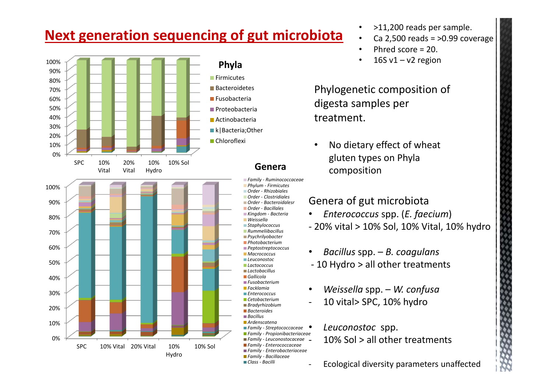# **Next generation sequencing of gut microbiota**



- •>11,200 reads per sample.
- •Ca 2,500 reads = >0.99 coverage
- •Phred score = 20.
- •16S v1  $-$  v2 region

Phylogenetic composition of digesta samples per treatment.

• No dietary effect of wheat gluten types on Phyla composition

#### Genera of gut microbiota

- • *Enterococcus* spp. (*E. faecium*) ‐ 20% vital > 10% Sol, 10% Vital, 10% hydro
- •*Bacillus* spp. – *B. coagulans*
- *‐* 10 Hydro > all other treatments
- •*Weissella* spp. – *W. confusa*
- ‐10 vital> SPC, 10% hydro
- *Leuconostoc*  spp. 10% Sol > all other treatments

111225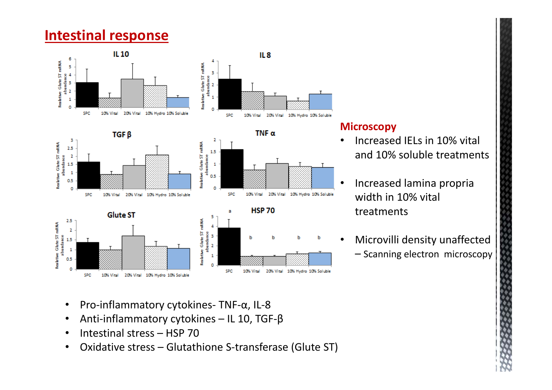#### **Intestinal response**

 $\overline{2}$ 

1.5

 $\,$  1

 $\circ$ 

**SPC** 

 $0.5$ 





#### **Microscopy**

b

20% Vital 10% Hydro 10% Soluble

- • Increased IELs in 10% vital and 10% soluble treatments
- • Increased lamina propria width in 10% vital treatments
- • Microvilli density unaffected – Scanning electron microscopy

 $\bullet$ Pro‐inflammatory cytokines‐ TNF‐α, IL‐8

20% Vital 10% Hydro 10% Soluble

- $\bullet$ Anti‐inflammatory cytokines – IL 10, TGF‐β
- •Intestinal stress – HSP 70

10% Vital

 $\bullet$ Oxidative stress – Glutathione S‐transferase (Glute ST)

abundance в

Realative  $\mathbf{1}$ 

 $\overline{2}$ 

 $\theta$ 

SPC

10% Vital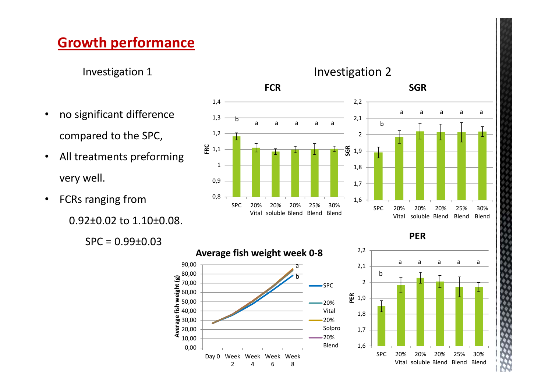## **Growth performance**

Investigation 1

- $\bullet$  no significant difference compared to the SPC,
- $\bullet$  All treatments preforming very well.
- $\bullet$  FCRs ranging from
	- 0.92±0.02 to 1.10±0.08.

SPC = 0.99±0.03



**PER**

30%



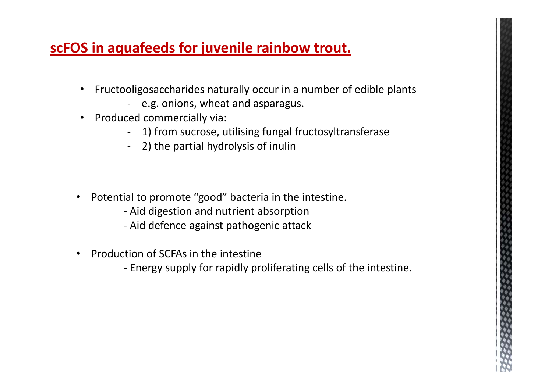## **scFOS in aquafeeds for juvenile rainbow trout.**

- Fructooligosaccharides naturally occur in a number of edible plants
	- ‐ e.g. onions, wheat and asparagus.
- Produced commercially via:
	- ‐ 1) from sucrose, utilising fungal fructosyltransferase
	- ‐ 2) the partial hydrolysis of inulin
- $\bullet$  Potential to promote "good" bacteria in the intestine.
	- ‐ Aid digestion and nutrient absorption
	- ‐ Aid defence against pathogenic attack
- • Production of SCFAs in the intestine
	- ‐ Energy supply for rapidly proliferating cells of the intestine.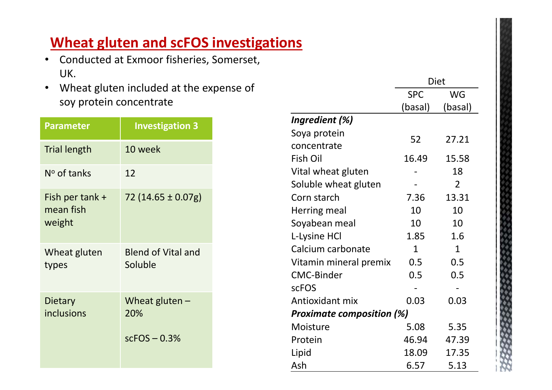# **Wheat gluten and scFOS investigations**

- • Conducted at Exmoor fisheries, Somerset, UK.
- $\bullet$  Wheat gluten included at the expense of soy protein concentrate

| <b>Parameter</b>                       | <b>Investigation 3</b>                    |
|----------------------------------------|-------------------------------------------|
| <b>Trial length</b>                    | 10 week                                   |
| Nº of tanks                            | 12                                        |
| Fish per tank +<br>mean fish<br>weight | 72 (14.65 ± 0.07g)                        |
| Wheat gluten<br>types                  | <b>Blend of Vital and</b><br>Soluble      |
| Dietary<br>inclusions                  | Wheat gluten $-$<br>20%<br>$scFOS - 0.3%$ |

|                                  | Diet       |                |  |  |  |
|----------------------------------|------------|----------------|--|--|--|
|                                  | <b>SPC</b> | WG             |  |  |  |
|                                  | (basal)    | (basal)        |  |  |  |
| Ingredient (%)                   |            |                |  |  |  |
| Soya protein                     | 52         | 27.21          |  |  |  |
| concentrate                      |            |                |  |  |  |
| Fish Oil                         | 16.49      | 15.58          |  |  |  |
| Vital wheat gluten               |            | 18             |  |  |  |
| Soluble wheat gluten             |            | $\mathfrak{D}$ |  |  |  |
| Corn starch                      | 7.36       | 13.31          |  |  |  |
| Herring meal                     | 10         | 10             |  |  |  |
| Soyabean meal                    | 10         | 10             |  |  |  |
| L-Lysine HCl                     | 1.85       | 1.6            |  |  |  |
| Calcium carbonate                | 1          | 1              |  |  |  |
| Vitamin mineral premix           | 0.5        | 0.5            |  |  |  |
| <b>CMC-Binder</b>                | 0.5        | 0.5            |  |  |  |
| <b>scFOS</b>                     |            |                |  |  |  |
| Antioxidant mix                  | 0.03       | 0.03           |  |  |  |
| <b>Proximate composition (%)</b> |            |                |  |  |  |
| Moisture                         | 5.08       | 5.35           |  |  |  |
| Protein                          | 46.94      | 47.39          |  |  |  |
| Lipid                            | 18.09      | 17.35          |  |  |  |
| Ash                              | 6.57       | 5.13           |  |  |  |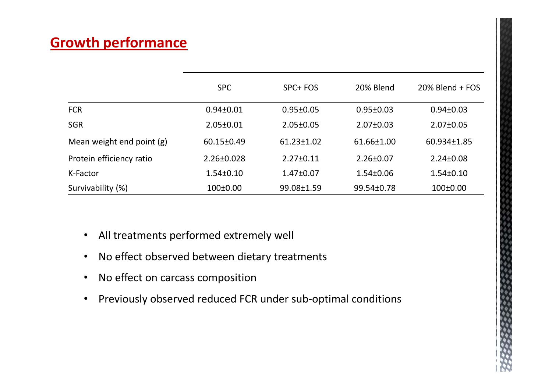# **Growth performance**

|                           | <b>SPC</b>       | SPC+ FOS         | 20% Blend       | $20\%$ Blend + FOS |
|---------------------------|------------------|------------------|-----------------|--------------------|
| <b>FCR</b>                | $0.94 \pm 0.01$  | $0.95 \pm 0.05$  | $0.95 \pm 0.03$ | $0.94 \pm 0.03$    |
| <b>SGR</b>                | $2.05 \pm 0.01$  | $2.05 \pm 0.05$  | $2.07 \pm 0.03$ | 2.07±0.05          |
| Mean weight end point (g) | 60.15±0.49       | $61.23 \pm 1.02$ | 61.66±1.00      | 60.934±1.85        |
| Protein efficiency ratio  | $2.26 \pm 0.028$ | $2.27 \pm 0.11$  | $2.26 \pm 0.07$ | $2.24 \pm 0.08$    |
| K-Factor                  | $1.54 \pm 0.10$  | $1.47 \pm 0.07$  | $1.54 \pm 0.06$ | $1.54 \pm 0.10$    |
| Survivability (%)         | $100 \pm 0.00$   | 99.08±1.59       | 99.54±0.78      | 100±0.00           |

- All treatments performed extremely well
- $\bullet$ No effect observed between dietary treatments
- $\bullet$ No effect on carcass composition
- •Previously observed reduced FCR under sub‐optimal conditions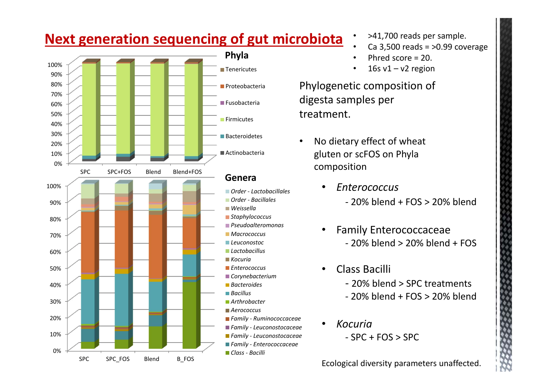#### **Next generation sequencing of gut microbiota**  $\cdot$   $>$ 41,700 reads per sample.



- 
- •Ca 3,500 reads = >0.99 coverage
- •Phred score = 20.
- •16s  $v1 - v2$  region

Phylogenetic composition of digesta samples per treatment.

- • No dietary effect of wheat gluten or scFOS on Phyla composition
	- • *Enterococcus ‐* 20% blend + FOS > 20% blend
	- • Family Enterococcaceae ‐ 20% blend > 20% blend + FOS
	- •Class Bacilli

•

- ‐ 20% blend > SPC treatments
- ‐ 20% blend + FOS > 20% blend
- *Kocuria*‐ SPC + FOS > SPC

Ecological diversity parameters unaffected.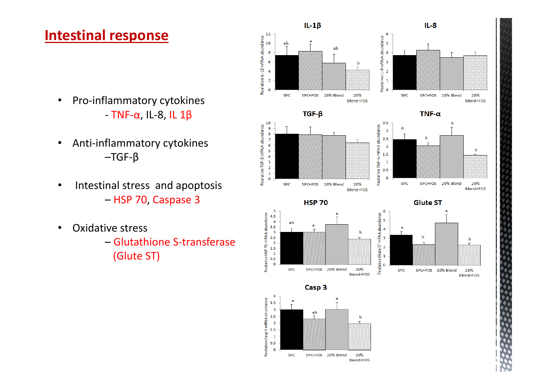#### **Intestinal response**

- $\bullet$  Pro‐inflammatory cytokines ‐ TNF‐α, IL‐8, IL 1β
- • Anti‐inflammatory cytokines –TGF‐β
- • Intestinal stress and apoptosis – HSP 70, Caspase 3
- $\bullet$  Oxidative stress
	- Glutathione S‐transferase (Glute ST)

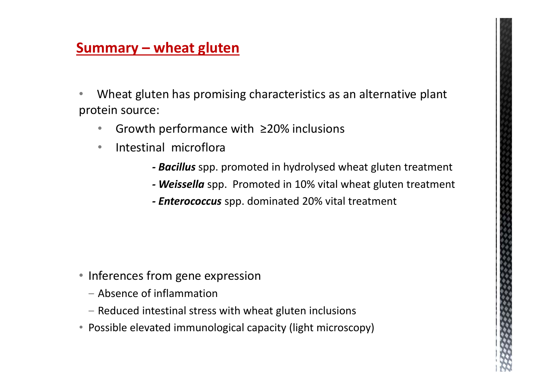#### **Summary – wheat gluten**

• Wheat gluten has promising characteristics as an alternative plant protein source:

- $\bullet$ Growth performance with ≥20% inclusions
- • Intestinal microflora
	- *‐ Bacillus* spp. promoted in hydrolysed wheat gluten treatment
	- *‐ Weissella* spp. Promoted in 10% vital wheat gluten treatment
	- *‐ Enterococcus* spp. dominated 20% vital treatment

- Inferences from gene expression
	- ‒ Absence of inflammation
	- ‒ Reduced intestinal stress with wheat gluten inclusions
- Possible elevated immunological capacity (light microscopy)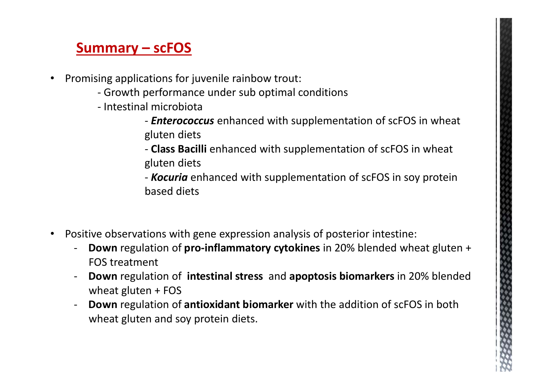# **Summary – scFOS**

- $\bullet$  Promising applications for juvenile rainbow trout:
	- ‐ Growth performance under sub optimal conditions
	- ‐ Intestinal microbiota
		- ‐ *Enterococcus* enhanced with supplementation of scFOS in wheat gluten diets
		- *‐* **Class Bacilli** enhanced with supplementation of scFOS in wheat gluten diets

‐ *Kocuria* enhanced with supplementation of scFOS in soy protein based diets

- $\bullet$  Positive observations with gene expression analysis of posterior intestine:
	- **Down** regulation of **pro-inflammatory cytokines** in 20% blended wheat gluten + FOS treatment
	- ‐ **Down** regulation of **intestinal stress** and **apoptosis biomarkers** in 20% blended wheat gluten + FOS
	- **Down** regulation of **antioxidant biomarker** with the addition of scFOS in both wheat gluten and soy protein diets.